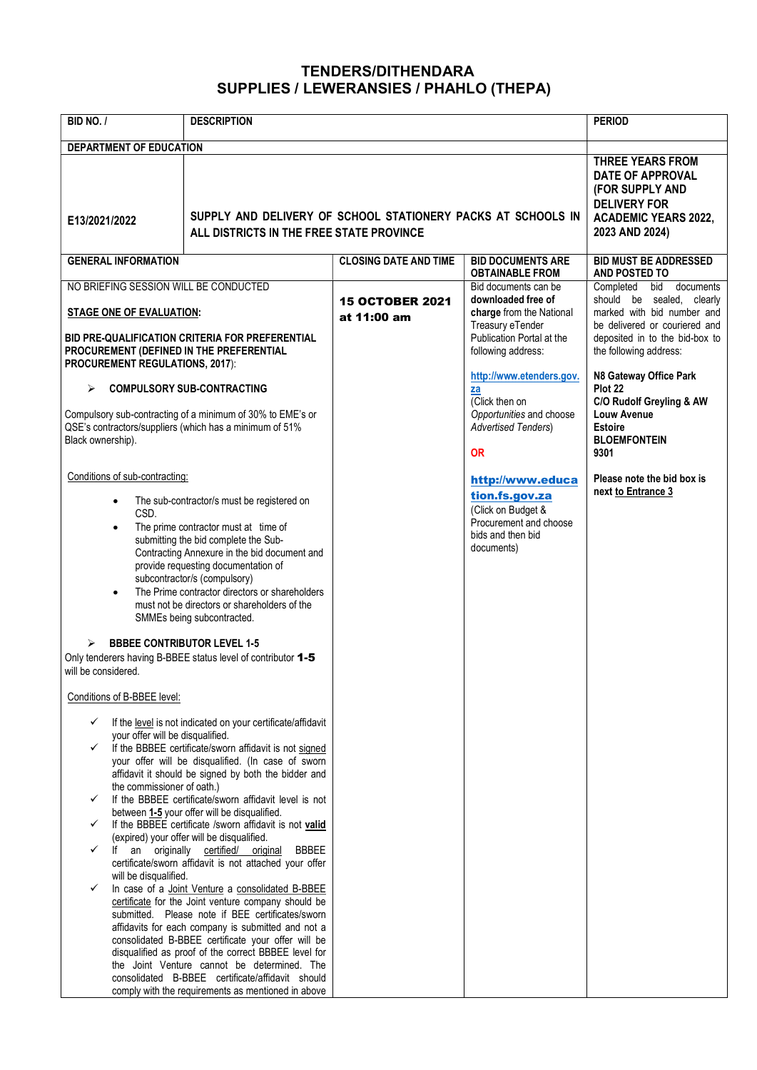## TENDERS/DITHENDARA SUPPLIES / LEWERANSIES / PHAHLO (THEPA)

| BID NO. /                                                                                                                                                                                                                                                                                                                                                                                                                                                                                                                                                                                                                                                                                                                                                                                                                                                                                                                                                                                                                                                                                                                                                                                                                                                                                                                                                                                                                                                                                                                                                                                                                                                                                                                                                                                                                                                                                               | <b>DESCRIPTION</b> |                                       |                                                                                                                                                                           | <b>PERIOD</b>                                                                                                                                                                                                   |
|---------------------------------------------------------------------------------------------------------------------------------------------------------------------------------------------------------------------------------------------------------------------------------------------------------------------------------------------------------------------------------------------------------------------------------------------------------------------------------------------------------------------------------------------------------------------------------------------------------------------------------------------------------------------------------------------------------------------------------------------------------------------------------------------------------------------------------------------------------------------------------------------------------------------------------------------------------------------------------------------------------------------------------------------------------------------------------------------------------------------------------------------------------------------------------------------------------------------------------------------------------------------------------------------------------------------------------------------------------------------------------------------------------------------------------------------------------------------------------------------------------------------------------------------------------------------------------------------------------------------------------------------------------------------------------------------------------------------------------------------------------------------------------------------------------------------------------------------------------------------------------------------------------|--------------------|---------------------------------------|---------------------------------------------------------------------------------------------------------------------------------------------------------------------------|-----------------------------------------------------------------------------------------------------------------------------------------------------------------------------------------------------------------|
| <b>DEPARTMENT OF EDUCATION</b><br>SUPPLY AND DELIVERY OF SCHOOL STATIONERY PACKS AT SCHOOLS IN<br>E13/2021/2022<br>ALL DISTRICTS IN THE FREE STATE PROVINCE                                                                                                                                                                                                                                                                                                                                                                                                                                                                                                                                                                                                                                                                                                                                                                                                                                                                                                                                                                                                                                                                                                                                                                                                                                                                                                                                                                                                                                                                                                                                                                                                                                                                                                                                             |                    |                                       | <b>THREE YEARS FROM</b><br><b>DATE OF APPROVAL</b><br>(FOR SUPPLY AND<br><b>DELIVERY FOR</b><br><b>ACADEMIC YEARS 2022,</b><br>2023 AND 2024)                             |                                                                                                                                                                                                                 |
| <b>GENERAL INFORMATION</b>                                                                                                                                                                                                                                                                                                                                                                                                                                                                                                                                                                                                                                                                                                                                                                                                                                                                                                                                                                                                                                                                                                                                                                                                                                                                                                                                                                                                                                                                                                                                                                                                                                                                                                                                                                                                                                                                              |                    | <b>CLOSING DATE AND TIME</b>          | <b>BID DOCUMENTS ARE</b><br><b>OBTAINABLE FROM</b>                                                                                                                        | <b>BID MUST BE ADDRESSED</b><br>AND POSTED TO                                                                                                                                                                   |
| NO BRIEFING SESSION WILL BE CONDUCTED<br><b>STAGE ONE OF EVALUATION:</b><br>BID PRE-QUALIFICATION CRITERIA FOR PREFERENTIAL<br>PROCUREMENT (DEFINED IN THE PREFERENTIAL<br><b>PROCUREMENT REGULATIONS, 2017):</b>                                                                                                                                                                                                                                                                                                                                                                                                                                                                                                                                                                                                                                                                                                                                                                                                                                                                                                                                                                                                                                                                                                                                                                                                                                                                                                                                                                                                                                                                                                                                                                                                                                                                                       |                    | <b>15 OCTOBER 2021</b><br>at 11:00 am | Bid documents can be<br>downloaded free of<br>charge from the National<br>Treasury eTender<br>Publication Portal at the<br>following address:<br>http://www.etenders.gov. | Completed<br>documents<br>bid<br>should be sealed, clearly<br>marked with bid number and<br>be delivered or couriered and<br>deposited in to the bid-box to<br>the following address:<br>N8 Gateway Office Park |
| <b>COMPULSORY SUB-CONTRACTING</b><br>⋗<br>Compulsory sub-contracting of a minimum of 30% to EME's or<br>QSE's contractors/suppliers (which has a minimum of 51%<br>Black ownership).                                                                                                                                                                                                                                                                                                                                                                                                                                                                                                                                                                                                                                                                                                                                                                                                                                                                                                                                                                                                                                                                                                                                                                                                                                                                                                                                                                                                                                                                                                                                                                                                                                                                                                                    |                    |                                       | za<br>(Click then on<br>Opportunities and choose<br><b>Advertised Tenders)</b><br><b>OR</b>                                                                               | Plot 22<br>C/O Rudolf Greyling & AW<br><b>Louw Avenue</b><br><b>Estoire</b><br><b>BLOEMFONTEIN</b><br>9301                                                                                                      |
| Conditions of sub-contracting:<br>The sub-contractor/s must be registered on<br>$\bullet$<br>CSD.<br>The prime contractor must at time of<br>$\bullet$<br>submitting the bid complete the Sub-<br>Contracting Annexure in the bid document and<br>provide requesting documentation of<br>subcontractor/s (compulsory)<br>The Prime contractor directors or shareholders<br>$\bullet$<br>must not be directors or shareholders of the<br>SMMEs being subcontracted.<br><b>BBBEE CONTRIBUTOR LEVEL 1-5</b><br>⋗<br>Only tenderers having B-BBEE status level of contributor 1-5<br>will be considered.<br>Conditions of B-BBEE level:<br>If the level is not indicated on your certificate/affidavit<br>$\checkmark$<br>your offer will be disqualified.<br>If the BBBEE certificate/sworn affidavit is not signed<br>$\checkmark$<br>your offer will be disqualified. (In case of sworn<br>affidavit it should be signed by both the bidder and<br>the commissioner of oath.)<br>If the BBBEE certificate/sworn affidavit level is not<br>$\checkmark$<br>between 1-5 your offer will be disqualified.<br>If the BBBEE certificate /sworn affidavit is not valid<br>$\checkmark$<br>(expired) your offer will be disqualified.<br>an originally certified/ original<br>lf<br><b>BBBEE</b><br>$\checkmark$<br>certificate/sworn affidavit is not attached your offer<br>will be disqualified.<br>In case of a Joint Venture a consolidated B-BBEE<br>$\checkmark$<br>certificate for the Joint venture company should be<br>submitted. Please note if BEE certificates/sworn<br>affidavits for each company is submitted and not a<br>consolidated B-BBEE certificate your offer will be<br>disqualified as proof of the correct BBBEE level for<br>the Joint Venture cannot be determined. The<br>consolidated B-BBEE certificate/affidavit should<br>comply with the requirements as mentioned in above |                    |                                       | http://www.educa<br>tion.fs.gov.za<br>(Click on Budget &<br>Procurement and choose<br>bids and then bid<br>documents)                                                     | Please note the bid box is<br>next to Entrance 3                                                                                                                                                                |